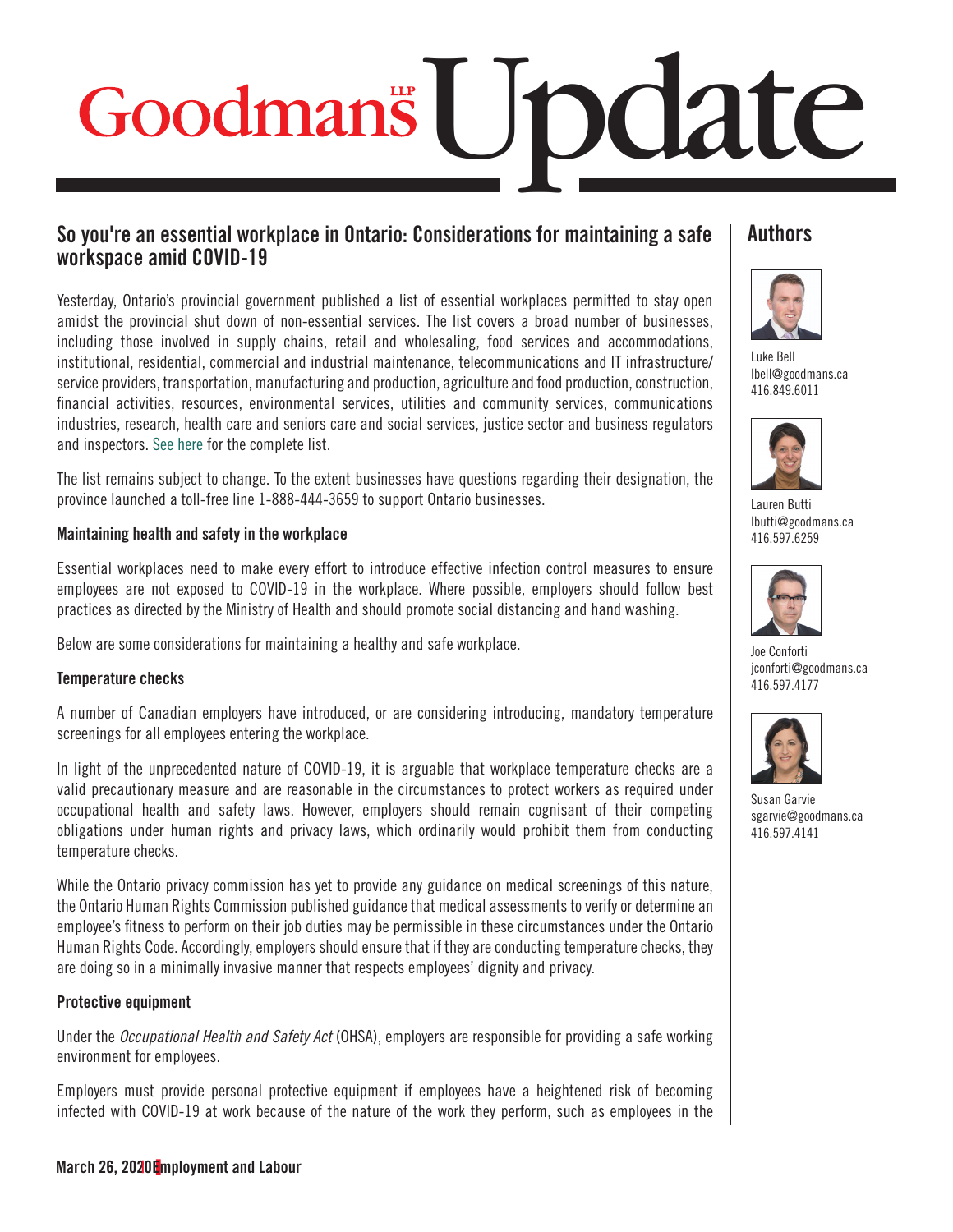# Goodmans | JDClate

## So you're an essential workplace in Ontario: Considerations for maintaining a safe workspace amid COVID-19

Yesterday, Ontario's provincial government published a list of essential workplaces permitted to stay open amidst the provincial shut down of non-essential services. The list covers a broad number of businesses, including those involved in supply chains, retail and wholesaling, food services and accommodations, institutional, residential, commercial and industrial maintenance, telecommunications and IT infrastructure/ service providers, transportation, manufacturing and production, agriculture and food production, construction, financial activities, resources, environmental services, utilities and community services, communications industries, research, health care and seniors care and social services, justice sector and business regulators and inspectors. [See here fo](https://www.ontario.ca/page/list-essential-workplaces)r the complete list.

The list remains subject to change. To the extent businesses have questions regarding their designation, the province launched a toll-free line 1-888-444-3659 to support Ontario businesses.

## Maintaining health and safety in the workplace

Essential workplaces need to make every effort to introduce effective infection control measures to ensure employees are not exposed to COVID-19 in the workplace. Where possible, employers should follow best practices as directed by the Ministry of Health and should promote social distancing and hand washing.

Below are some considerations for maintaining a healthy and safe workplace.

## Temperature checks

A number of Canadian employers have introduced, or are considering introducing, mandatory temperature screenings for all employees entering the workplace.

In light of the unprecedented nature of COVID-19, it is arguable that workplace temperature checks are a valid precautionary measure and are reasonable in the circumstances to protect workers as required under occupational health and safety laws. However, employers should remain cognisant of their competing obligations under human rights and privacy laws, which ordinarily would prohibit them from conducting temperature checks.

While the Ontario privacy commission has yet to provide any guidance on medical screenings of this nature, the Ontario Human Rights Commission published guidance that medical assessments to verify or determine an employee's fitness to perform on their job duties may be permissible in these circumstances under the Ontario Human Rights Code. Accordingly, employers should ensure that if they are conducting temperature checks, they are doing so in a minimally invasive manner that respects employees' dignity and privacy.

## Protective equipment

Under the *Occupational Health and Safety Act* (OHSA), employers are responsible for providing a safe working environment for employees.

Employers must provide personal protective equipment if employees have a heightened risk of becoming infected with COVID-19 at work because of the nature of the work they perform, such as employees in the

## **Authors**



Luke Bell [lbell@goodmans.ca](mailto: lbell@goodmans.ca) 416.849.6011



Lauren Butti [lbutti@goodmans.ca](mailto: lbutti@goodmans.ca) 416.597.6259



Joe Conforti [jconforti@goodmans.ca](mailto: jconforti@goodmans.ca) 416.597.4177



[Susan Garvie](https://www.goodmans.ca/People/Susan_Garvie/?srch=susan%20garvie) [sgarvie@goodmans.ca](mailto: sgarvie@goodmans.ca) 416.597.4141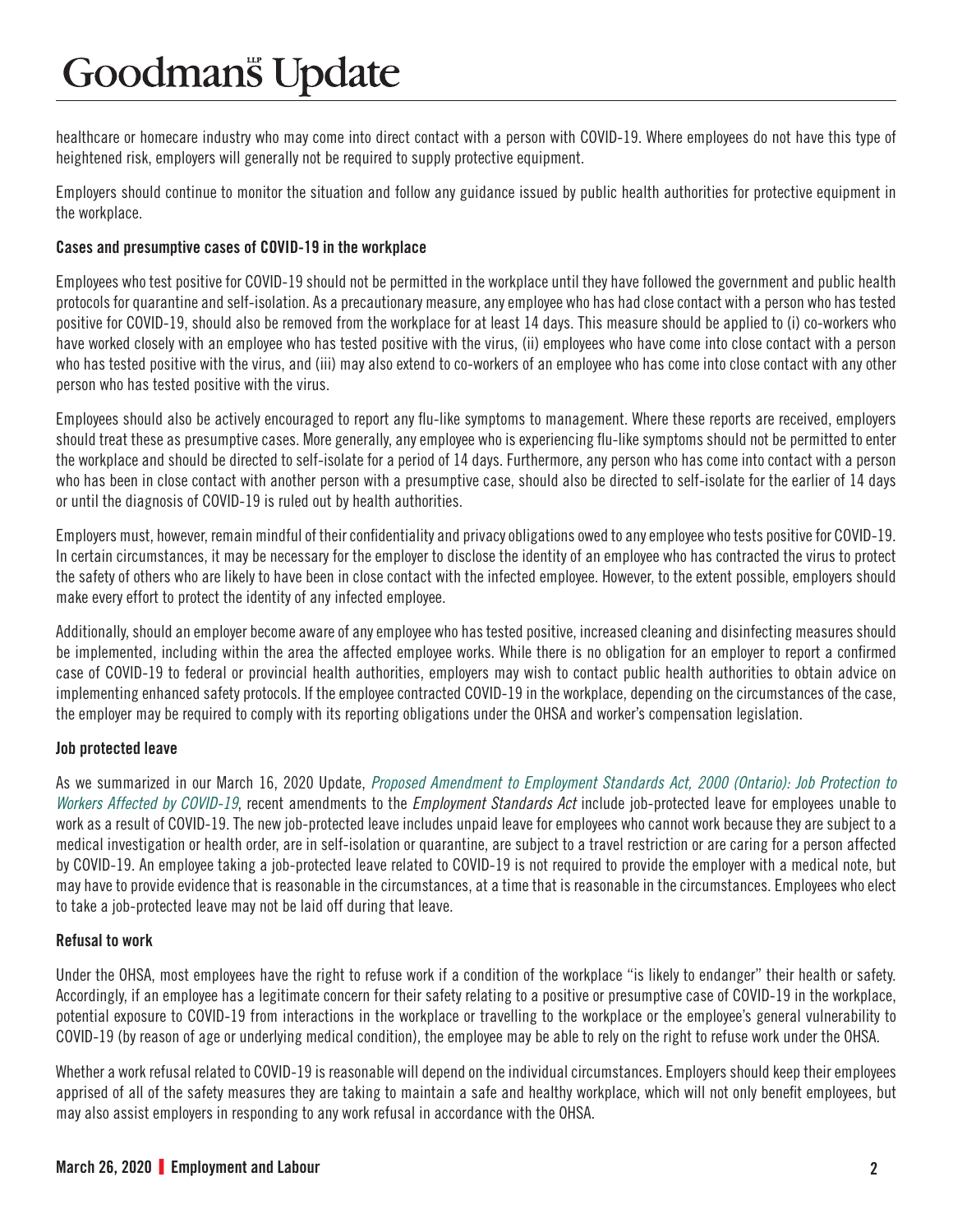# **Goodmans** Update

healthcare or homecare industry who may come into direct contact with a person with COVID-19. Where employees do not have this type of heightened risk, employers will generally not be required to supply protective equipment.

Employers should continue to monitor the situation and follow any guidance issued by public health authorities for protective equipment in the workplace.

## Cases and presumptive cases of COVID-19 in the workplace

Employees who test positive for COVID-19 should not be permitted in the workplace until they have followed the government and public health protocols for quarantine and self-isolation. As a precautionary measure, any employee who has had close contact with a person who has tested positive for COVID-19, should also be removed from the workplace for at least 14 days. This measure should be applied to (i) co-workers who have worked closely with an employee who has tested positive with the virus, (ii) employees who have come into close contact with a person who has tested positive with the virus, and (iii) may also extend to co-workers of an employee who has come into close contact with any other person who has tested positive with the virus.

Employees should also be actively encouraged to report any flu-like symptoms to management. Where these reports are received, employers should treat these as presumptive cases. More generally, any employee who is experiencing flu-like symptoms should not be permitted to enter the workplace and should be directed to self-isolate for a period of 14 days. Furthermore, any person who has come into contact with a person who has been in close contact with another person with a presumptive case, should also be directed to self-isolate for the earlier of 14 days or until the diagnosis of COVID-19 is ruled out by health authorities.

Employers must, however, remain mindful of their confidentiality and privacy obligations owed to any employee who tests positive for COVID-19. In certain circumstances, it may be necessary for the employer to disclose the identity of an employee who has contracted the virus to protect the safety of others who are likely to have been in close contact with the infected employee. However, to the extent possible, employers should make every effort to protect the identity of any infected employee.

Additionally, should an employer become aware of any employee who has tested positive, increased cleaning and disinfecting measures should be implemented, including within the area the affected employee works. While there is no obligation for an employer to report a confirmed case of COVID-19 to federal or provincial health authorities, employers may wish to contact public health authorities to obtain advice on implementing enhanced safety protocols. If the employee contracted COVID-19 in the workplace, depending on the circumstances of the case, the employer may be required to comply with its reporting obligations under the OHSA and worker's compensation legislation.

## Job protected leave

As we summarized in our March 16, 2020 Update, *[Proposed Amendment to Employment Standards Act, 2000 \(Ontario\): Job Protection to](https://www.goodmans.ca/Doc/Proposed_Amendment_to_Employment_Standards_Act__2000__Ontario___Job_Protection_to_Workers_Affected_by_COVID_19)  [Workers Affected by COVID-19](https://www.goodmans.ca/Doc/Proposed_Amendment_to_Employment_Standards_Act__2000__Ontario___Job_Protection_to_Workers_Affected_by_COVID_19)*, recent amendments to the *Employment Standards Act* include job-protected leave for employees unable to work as a result of COVID-19. The new job-protected leave includes unpaid leave for employees who cannot work because they are subject to a medical investigation or health order, are in self-isolation or quarantine, are subject to a travel restriction or are caring for a person affected by COVID-19. An employee taking a job-protected leave related to COVID-19 is not required to provide the employer with a medical note, but may have to provide evidence that is reasonable in the circumstances, at a time that is reasonable in the circumstances. Employees who elect to take a job-protected leave may not be laid off during that leave.

## Refusal to work

Under the OHSA, most employees have the right to refuse work if a condition of the workplace "is likely to endanger" their health or safety. Accordingly, if an employee has a legitimate concern for their safety relating to a positive or presumptive case of COVID-19 in the workplace, potential exposure to COVID-19 from interactions in the workplace or travelling to the workplace or the employee's general vulnerability to COVID-19 (by reason of age or underlying medical condition), the employee may be able to rely on the right to refuse work under the OHSA.

Whether a work refusal related to COVID-19 is reasonable will depend on the individual circumstances. Employers should keep their employees apprised of all of the safety measures they are taking to maintain a safe and healthy workplace, which will not only benefit employees, but may also assist employers in responding to any work refusal in accordance with the OHSA.